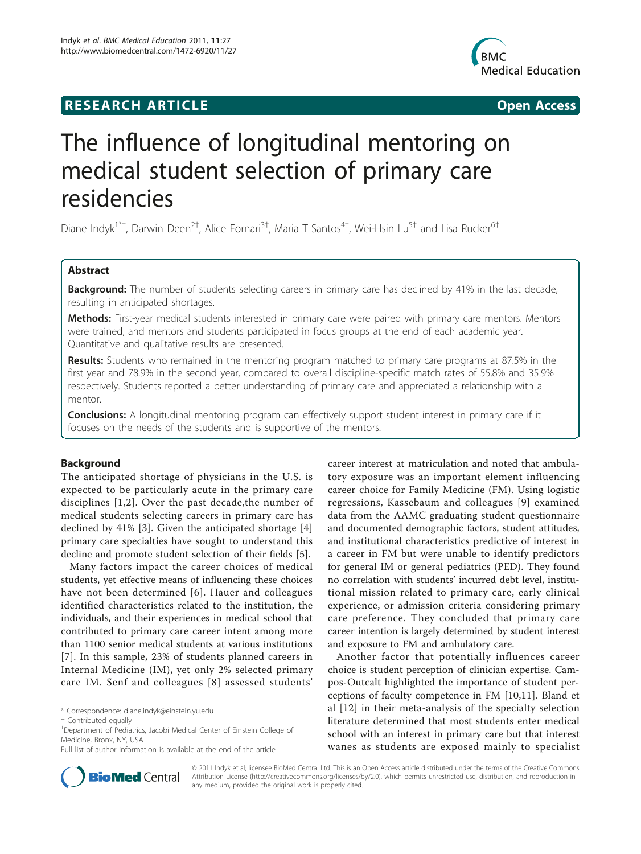## **RESEARCH ARTICLE Example 2008 CONSIDERING ACCESS**



# The influence of longitudinal mentoring on medical student selection of primary care residencies

Diane Indyk<sup>1\*†</sup>, Darwin Deen<sup>2†</sup>, Alice Fornari<sup>3†</sup>, Maria T Santos<sup>4†</sup>, Wei-Hsin Lu<sup>5†</sup> and Lisa Rucker<sup>6†</sup>

## Abstract

Background: The number of students selecting careers in primary care has declined by 41% in the last decade, resulting in anticipated shortages.

Methods: First-year medical students interested in primary care were paired with primary care mentors. Mentors were trained, and mentors and students participated in focus groups at the end of each academic year. Quantitative and qualitative results are presented.

Results: Students who remained in the mentoring program matched to primary care programs at 87.5% in the first year and 78.9% in the second year, compared to overall discipline-specific match rates of 55.8% and 35.9% respectively. Students reported a better understanding of primary care and appreciated a relationship with a mentor.

**Conclusions:** A longitudinal mentoring program can effectively support student interest in primary care if it focuses on the needs of the students and is supportive of the mentors.

## Background

The anticipated shortage of physicians in the U.S. is expected to be particularly acute in the primary care disciplines [\[1,2](#page-6-0)]. Over the past decade,the number of medical students selecting careers in primary care has declined by 41% [[3\]](#page-6-0). Given the anticipated shortage [\[4](#page-6-0)] primary care specialties have sought to understand this decline and promote student selection of their fields [\[5](#page-6-0)].

Many factors impact the career choices of medical students, yet effective means of influencing these choices have not been determined [[6\]](#page-6-0). Hauer and colleagues identified characteristics related to the institution, the individuals, and their experiences in medical school that contributed to primary care career intent among more than 1100 senior medical students at various institutions [[7](#page-6-0)]. In this sample, 23% of students planned careers in Internal Medicine (IM), yet only 2% selected primary care IM. Senf and colleagues [[8](#page-6-0)] assessed students'

\* Correspondence: [diane.indyk@einstein.yu.edu](mailto:diane.indyk@einstein.yu.edu)

career interest at matriculation and noted that ambulatory exposure was an important element influencing career choice for Family Medicine (FM). Using logistic regressions, Kassebaum and colleagues [\[9\]](#page-6-0) examined data from the AAMC graduating student questionnaire and documented demographic factors, student attitudes, and institutional characteristics predictive of interest in a career in FM but were unable to identify predictors for general IM or general pediatrics (PED). They found no correlation with students' incurred debt level, institutional mission related to primary care, early clinical experience, or admission criteria considering primary care preference. They concluded that primary care career intention is largely determined by student interest and exposure to FM and ambulatory care.

Another factor that potentially influences career choice is student perception of clinician expertise. Campos-Outcalt highlighted the importance of student perceptions of faculty competence in FM [\[10](#page-6-0),[11\]](#page-6-0). Bland et al [[12](#page-6-0)] in their meta-analysis of the specialty selection literature determined that most students enter medical school with an interest in primary care but that interest wanes as students are exposed mainly to specialist



© 2011 Indyk et al; licensee BioMed Central Ltd. This is an Open Access article distributed under the terms of the Creative Commons Attribution License [\(http://creativecommons.org/licenses/by/2.0](http://creativecommons.org/licenses/by/2.0)), which permits unrestricted use, distribution, and reproduction in any medium, provided the original work is properly cited.

<sup>†</sup> Contributed equally <sup>1</sup>

<sup>&</sup>lt;sup>1</sup>Department of Pediatrics, Jacobi Medical Center of Einstein College of Medicine, Bronx, NY, USA

Full list of author information is available at the end of the article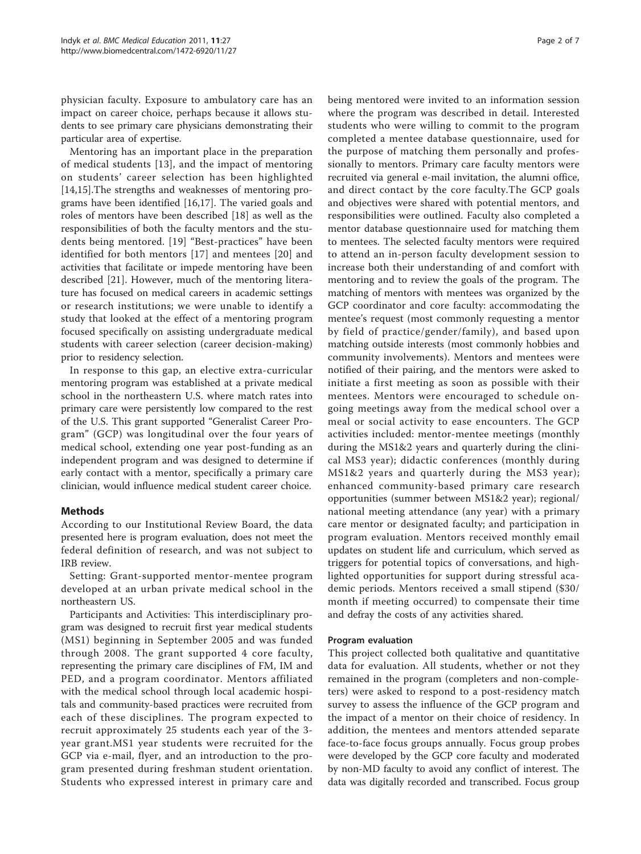physician faculty. Exposure to ambulatory care has an impact on career choice, perhaps because it allows students to see primary care physicians demonstrating their particular area of expertise.

Mentoring has an important place in the preparation of medical students [\[13](#page-6-0)], and the impact of mentoring on students' career selection has been highlighted [[14,15\]](#page-6-0).The strengths and weaknesses of mentoring programs have been identified [[16,17\]](#page-6-0). The varied goals and roles of mentors have been described [\[18](#page-6-0)] as well as the responsibilities of both the faculty mentors and the students being mentored. [[19](#page-6-0)] "Best-practices" have been identified for both mentors [[17\]](#page-6-0) and mentees [\[20](#page-6-0)] and activities that facilitate or impede mentoring have been described [[21\]](#page-6-0). However, much of the mentoring literature has focused on medical careers in academic settings or research institutions; we were unable to identify a study that looked at the effect of a mentoring program focused specifically on assisting undergraduate medical students with career selection (career decision-making) prior to residency selection.

In response to this gap, an elective extra-curricular mentoring program was established at a private medical school in the northeastern U.S. where match rates into primary care were persistently low compared to the rest of the U.S. This grant supported "Generalist Career Program" (GCP) was longitudinal over the four years of medical school, extending one year post-funding as an independent program and was designed to determine if early contact with a mentor, specifically a primary care clinician, would influence medical student career choice.

## Methods

According to our Institutional Review Board, the data presented here is program evaluation, does not meet the federal definition of research, and was not subject to IRB review.

Setting: Grant-supported mentor-mentee program developed at an urban private medical school in the northeastern US.

Participants and Activities: This interdisciplinary program was designed to recruit first year medical students (MS1) beginning in September 2005 and was funded through 2008. The grant supported 4 core faculty, representing the primary care disciplines of FM, IM and PED, and a program coordinator. Mentors affiliated with the medical school through local academic hospitals and community-based practices were recruited from each of these disciplines. The program expected to recruit approximately 25 students each year of the 3 year grant.MS1 year students were recruited for the GCP via e-mail, flyer, and an introduction to the program presented during freshman student orientation. Students who expressed interest in primary care and being mentored were invited to an information session where the program was described in detail. Interested students who were willing to commit to the program completed a mentee database questionnaire, used for the purpose of matching them personally and professionally to mentors. Primary care faculty mentors were recruited via general e-mail invitation, the alumni office, and direct contact by the core faculty.The GCP goals and objectives were shared with potential mentors, and responsibilities were outlined. Faculty also completed a mentor database questionnaire used for matching them to mentees. The selected faculty mentors were required to attend an in-person faculty development session to increase both their understanding of and comfort with mentoring and to review the goals of the program. The matching of mentors with mentees was organized by the GCP coordinator and core faculty: accommodating the mentee's request (most commonly requesting a mentor by field of practice/gender/family), and based upon matching outside interests (most commonly hobbies and community involvements). Mentors and mentees were notified of their pairing, and the mentors were asked to initiate a first meeting as soon as possible with their mentees. Mentors were encouraged to schedule ongoing meetings away from the medical school over a meal or social activity to ease encounters. The GCP activities included: mentor-mentee meetings (monthly during the MS1&2 years and quarterly during the clinical MS3 year); didactic conferences (monthly during MS1&2 years and quarterly during the MS3 year); enhanced community-based primary care research opportunities (summer between MS1&2 year); regional/ national meeting attendance (any year) with a primary care mentor or designated faculty; and participation in program evaluation. Mentors received monthly email updates on student life and curriculum, which served as triggers for potential topics of conversations, and highlighted opportunities for support during stressful academic periods. Mentors received a small stipend (\$30/ month if meeting occurred) to compensate their time and defray the costs of any activities shared.

#### Program evaluation

This project collected both qualitative and quantitative data for evaluation. All students, whether or not they remained in the program (completers and non-completers) were asked to respond to a post-residency match survey to assess the influence of the GCP program and the impact of a mentor on their choice of residency. In addition, the mentees and mentors attended separate face-to-face focus groups annually. Focus group probes were developed by the GCP core faculty and moderated by non-MD faculty to avoid any conflict of interest. The data was digitally recorded and transcribed. Focus group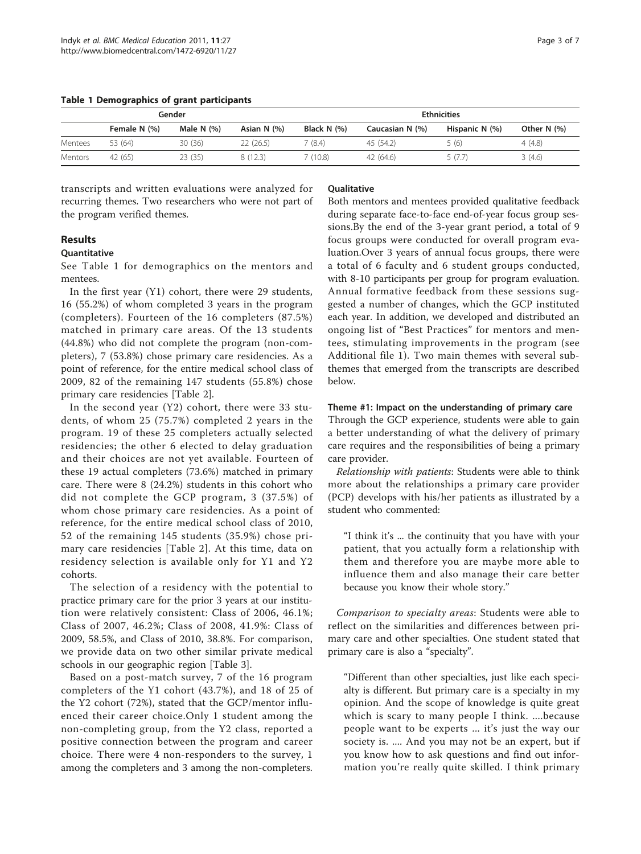Table 1 Demographics of grant participants

| Gender  |              |              |               | <b>Ethnicities</b> |                 |                |              |
|---------|--------------|--------------|---------------|--------------------|-----------------|----------------|--------------|
|         | Female N (%) | Male N $(%)$ | Asian N $(%)$ | Black N (%)        | Caucasian N (%) | Hispanic N (%) | Other $N(%)$ |
| Mentees | 53 (64)      | 30(36)       | 22(26.5)      | (8.4)              | 45 (54.2)       | 5 (6)          | 4(4.8)       |
| Mentors | 42 (65)      | 23 (35)      | 8(12.3)       | (10.8)             | 42 (64.6)       | 5(7.7)         | 3(4.6)       |

transcripts and written evaluations were analyzed for recurring themes. Two researchers who were not part of the program verified themes.

## Results

## **Ouantitative**

See Table 1 for demographics on the mentors and mentees.

In the first year (Y1) cohort, there were 29 students, 16 (55.2%) of whom completed 3 years in the program (completers). Fourteen of the 16 completers (87.5%) matched in primary care areas. Of the 13 students (44.8%) who did not complete the program (non-completers), 7 (53.8%) chose primary care residencies. As a point of reference, for the entire medical school class of 2009, 82 of the remaining 147 students (55.8%) chose primary care residencies [Table [2\]](#page-3-0).

In the second year (Y2) cohort, there were 33 students, of whom 25 (75.7%) completed 2 years in the program. 19 of these 25 completers actually selected residencies; the other 6 elected to delay graduation and their choices are not yet available. Fourteen of these 19 actual completers (73.6%) matched in primary care. There were 8 (24.2%) students in this cohort who did not complete the GCP program, 3 (37.5%) of whom chose primary care residencies. As a point of reference, for the entire medical school class of 2010, 52 of the remaining 145 students (35.9%) chose primary care residencies [Table [2](#page-3-0)]. At this time, data on residency selection is available only for Y1 and Y2 cohorts.

The selection of a residency with the potential to practice primary care for the prior 3 years at our institution were relatively consistent: Class of 2006, 46.1%; Class of 2007, 46.2%; Class of 2008, 41.9%: Class of 2009, 58.5%, and Class of 2010, 38.8%. For comparison, we provide data on two other similar private medical schools in our geographic region [Table [3\]](#page-3-0).

Based on a post-match survey, 7 of the 16 program completers of the Y1 cohort (43.7%), and 18 of 25 of the Y2 cohort (72%), stated that the GCP/mentor influenced their career choice.Only 1 student among the non-completing group, from the Y2 class, reported a positive connection between the program and career choice. There were 4 non-responders to the survey, 1 among the completers and 3 among the non-completers.

#### **Oualitative**

Both mentors and mentees provided qualitative feedback during separate face-to-face end-of-year focus group sessions.By the end of the 3-year grant period, a total of 9 focus groups were conducted for overall program evaluation.Over 3 years of annual focus groups, there were a total of 6 faculty and 6 student groups conducted, with 8-10 participants per group for program evaluation. Annual formative feedback from these sessions suggested a number of changes, which the GCP instituted each year. In addition, we developed and distributed an ongoing list of "Best Practices" for mentors and mentees, stimulating improvements in the program (see Additional file [1](#page-6-0)). Two main themes with several subthemes that emerged from the transcripts are described below.

#### Theme #1: Impact on the understanding of primary care

Through the GCP experience, students were able to gain a better understanding of what the delivery of primary care requires and the responsibilities of being a primary care provider.

Relationship with patients: Students were able to think more about the relationships a primary care provider (PCP) develops with his/her patients as illustrated by a student who commented:

"I think it's ... the continuity that you have with your patient, that you actually form a relationship with them and therefore you are maybe more able to influence them and also manage their care better because you know their whole story."

Comparison to specialty areas: Students were able to reflect on the similarities and differences between primary care and other specialties. One student stated that primary care is also a "specialty".

"Different than other specialties, just like each specialty is different. But primary care is a specialty in my opinion. And the scope of knowledge is quite great which is scary to many people I think. ....because people want to be experts ... it's just the way our society is. .... And you may not be an expert, but if you know how to ask questions and find out information you're really quite skilled. I think primary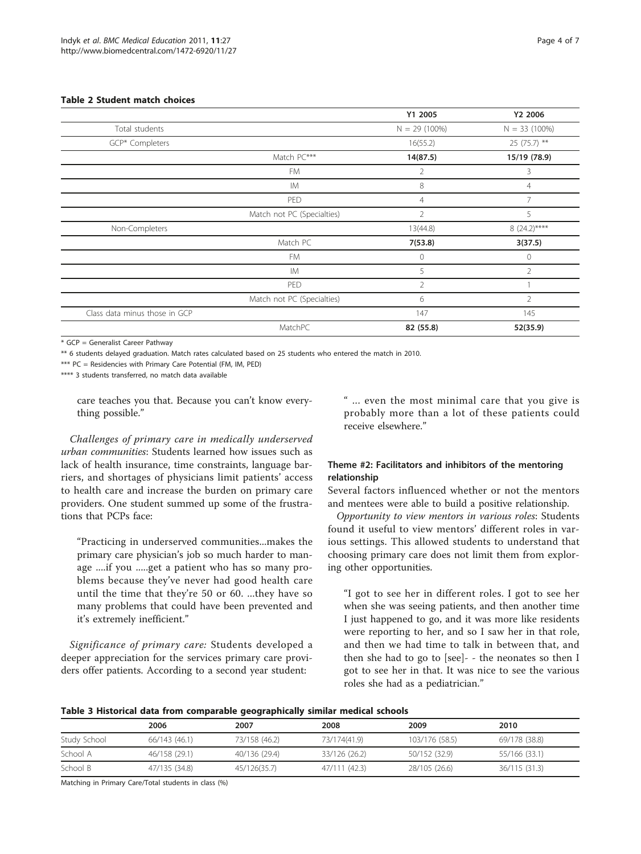## <span id="page-3-0"></span>Table 2 Student match choices

|                               |                            | Y1 2005         | Y2 2006         |
|-------------------------------|----------------------------|-----------------|-----------------|
| Total students                |                            | $N = 29(100\%)$ | $N = 33(100\%)$ |
| GCP* Completers               |                            | 16(55.2)        | 25 (75.7) **    |
|                               | Match PC***                | 14(87.5)        | 15/19 (78.9)    |
|                               | FM                         | 2               | 3               |
|                               | <b>IM</b>                  | 8               | $\overline{4}$  |
|                               | PED                        | $\overline{4}$  | 7               |
|                               | Match not PC (Specialties) | $\overline{2}$  | 5               |
| Non-Completers                |                            | 13(44.8)        | $8(24.2)***$    |
|                               | Match PC                   | 7(53.8)         | 3(37.5)         |
|                               | FM                         | 0               | $\circ$         |
|                               | <b>IM</b>                  | 5               | $\overline{2}$  |
|                               | PED                        | $\overline{2}$  |                 |
|                               | Match not PC (Specialties) | 6               | 2               |
| Class data minus those in GCP |                            | 147             | 145             |
|                               | MatchPC                    | 82 (55.8)       | 52(35.9)        |

\* GCP = Generalist Career Pathway

\*\* 6 students delayed graduation. Match rates calculated based on 25 students who entered the match in 2010.

\*\*\* PC = Residencies with Primary Care Potential (FM, IM, PED)

\*\*\*\* 3 students transferred, no match data available

care teaches you that. Because you can't know everything possible."

Challenges of primary care in medically underserved urban communities: Students learned how issues such as lack of health insurance, time constraints, language barriers, and shortages of physicians limit patients' access to health care and increase the burden on primary care providers. One student summed up some of the frustrations that PCPs face:

"Practicing in underserved communities...makes the primary care physician's job so much harder to manage ....if you .....get a patient who has so many problems because they've never had good health care until the time that they're 50 or 60. ...they have so many problems that could have been prevented and it's extremely inefficient."

Significance of primary care: Students developed a deeper appreciation for the services primary care providers offer patients. According to a second year student:

" ... even the most minimal care that you give is probably more than a lot of these patients could receive elsewhere."

## Theme #2: Facilitators and inhibitors of the mentoring relationship

Several factors influenced whether or not the mentors and mentees were able to build a positive relationship.

Opportunity to view mentors in various roles: Students found it useful to view mentors' different roles in various settings. This allowed students to understand that choosing primary care does not limit them from exploring other opportunities.

"I got to see her in different roles. I got to see her when she was seeing patients, and then another time I just happened to go, and it was more like residents were reporting to her, and so I saw her in that role, and then we had time to talk in between that, and then she had to go to [see]- - the neonates so then I got to see her in that. It was nice to see the various roles she had as a pediatrician."

#### Table 3 Historical data from comparable geographically similar medical schools

|              | 2006          | 2007          | 2008          | 2009           | 2010          |
|--------------|---------------|---------------|---------------|----------------|---------------|
| Study School | 66/143 (46.1) | 73/158 (46.2) | 73/174(41.9)  | 103/176 (58.5) | 69/178 (38.8) |
| School A     | 46/158 (29.1) | 40/136 (29.4) | 33/126 (26.2) | 50/152 (32.9)  | 55/166 (33.1) |
| School B     | 47/135 (34.8) | 45/126(35.7)  | 47/111 (42.3) | 28/105 (26.6)  | 36/115 (31.3) |

Matching in Primary Care/Total students in class (%)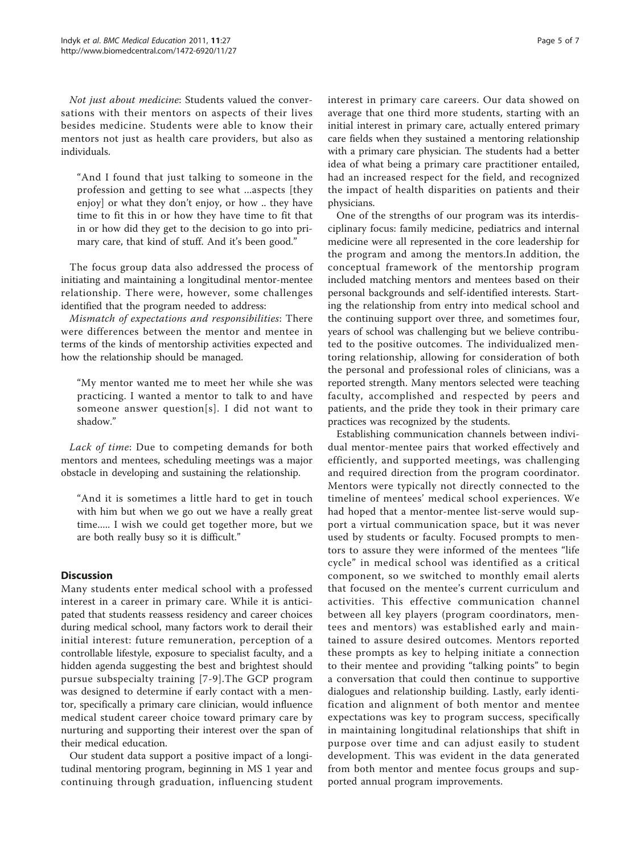Not just about medicine: Students valued the conversations with their mentors on aspects of their lives besides medicine. Students were able to know their mentors not just as health care providers, but also as individuals.

"And I found that just talking to someone in the profession and getting to see what ...aspects [they enjoy] or what they don't enjoy, or how .. they have time to fit this in or how they have time to fit that in or how did they get to the decision to go into primary care, that kind of stuff. And it's been good."

The focus group data also addressed the process of initiating and maintaining a longitudinal mentor-mentee relationship. There were, however, some challenges identified that the program needed to address:

Mismatch of expectations and responsibilities: There were differences between the mentor and mentee in terms of the kinds of mentorship activities expected and how the relationship should be managed.

"My mentor wanted me to meet her while she was practicing. I wanted a mentor to talk to and have someone answer question[s]. I did not want to shadow."

Lack of time: Due to competing demands for both mentors and mentees, scheduling meetings was a major obstacle in developing and sustaining the relationship.

"And it is sometimes a little hard to get in touch with him but when we go out we have a really great time..... I wish we could get together more, but we are both really busy so it is difficult."

## **Discussion**

Many students enter medical school with a professed interest in a career in primary care. While it is anticipated that students reassess residency and career choices during medical school, many factors work to derail their initial interest: future remuneration, perception of a controllable lifestyle, exposure to specialist faculty, and a hidden agenda suggesting the best and brightest should pursue subspecialty training [\[7-9\]](#page-6-0).The GCP program was designed to determine if early contact with a mentor, specifically a primary care clinician, would influence medical student career choice toward primary care by nurturing and supporting their interest over the span of their medical education.

Our student data support a positive impact of a longitudinal mentoring program, beginning in MS 1 year and continuing through graduation, influencing student Page 5 of 7

interest in primary care careers. Our data showed on average that one third more students, starting with an initial interest in primary care, actually entered primary care fields when they sustained a mentoring relationship with a primary care physician. The students had a better idea of what being a primary care practitioner entailed, had an increased respect for the field, and recognized the impact of health disparities on patients and their physicians.

One of the strengths of our program was its interdisciplinary focus: family medicine, pediatrics and internal medicine were all represented in the core leadership for the program and among the mentors.In addition, the conceptual framework of the mentorship program included matching mentors and mentees based on their personal backgrounds and self-identified interests. Starting the relationship from entry into medical school and the continuing support over three, and sometimes four, years of school was challenging but we believe contributed to the positive outcomes. The individualized mentoring relationship, allowing for consideration of both the personal and professional roles of clinicians, was a reported strength. Many mentors selected were teaching faculty, accomplished and respected by peers and patients, and the pride they took in their primary care practices was recognized by the students.

Establishing communication channels between individual mentor-mentee pairs that worked effectively and efficiently, and supported meetings, was challenging and required direction from the program coordinator. Mentors were typically not directly connected to the timeline of mentees' medical school experiences. We had hoped that a mentor-mentee list-serve would support a virtual communication space, but it was never used by students or faculty. Focused prompts to mentors to assure they were informed of the mentees "life cycle" in medical school was identified as a critical component, so we switched to monthly email alerts that focused on the mentee's current curriculum and activities. This effective communication channel between all key players (program coordinators, mentees and mentors) was established early and maintained to assure desired outcomes. Mentors reported these prompts as key to helping initiate a connection to their mentee and providing "talking points" to begin a conversation that could then continue to supportive dialogues and relationship building. Lastly, early identification and alignment of both mentor and mentee expectations was key to program success, specifically in maintaining longitudinal relationships that shift in purpose over time and can adjust easily to student development. This was evident in the data generated from both mentor and mentee focus groups and supported annual program improvements.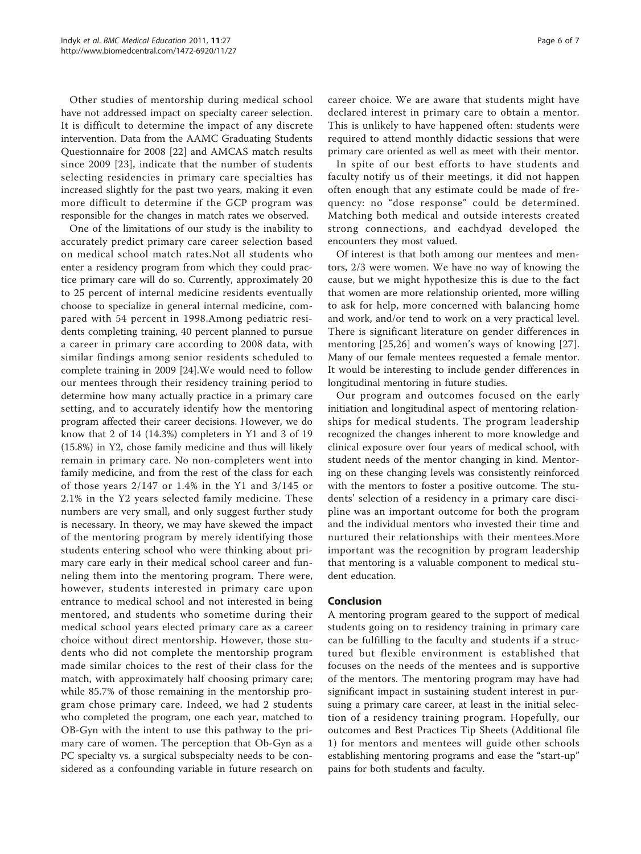Other studies of mentorship during medical school have not addressed impact on specialty career selection. It is difficult to determine the impact of any discrete intervention. Data from the AAMC Graduating Students Questionnaire for 2008 [[22\]](#page-6-0) and AMCAS match results since 2009 [[23](#page-6-0)], indicate that the number of students selecting residencies in primary care specialties has increased slightly for the past two years, making it even more difficult to determine if the GCP program was responsible for the changes in match rates we observed.

One of the limitations of our study is the inability to accurately predict primary care career selection based on medical school match rates.Not all students who enter a residency program from which they could practice primary care will do so. Currently, approximately 20 to 25 percent of internal medicine residents eventually choose to specialize in general internal medicine, compared with 54 percent in 1998.Among pediatric residents completing training, 40 percent planned to pursue a career in primary care according to 2008 data, with similar findings among senior residents scheduled to complete training in 2009 [\[24\]](#page-6-0).We would need to follow our mentees through their residency training period to determine how many actually practice in a primary care setting, and to accurately identify how the mentoring program affected their career decisions. However, we do know that 2 of 14 (14.3%) completers in Y1 and 3 of 19 (15.8%) in Y2, chose family medicine and thus will likely remain in primary care. No non-completers went into family medicine, and from the rest of the class for each of those years 2/147 or 1.4% in the Y1 and 3/145 or 2.1% in the Y2 years selected family medicine. These numbers are very small, and only suggest further study is necessary. In theory, we may have skewed the impact of the mentoring program by merely identifying those students entering school who were thinking about primary care early in their medical school career and funneling them into the mentoring program. There were, however, students interested in primary care upon entrance to medical school and not interested in being mentored, and students who sometime during their medical school years elected primary care as a career choice without direct mentorship. However, those students who did not complete the mentorship program made similar choices to the rest of their class for the match, with approximately half choosing primary care; while 85.7% of those remaining in the mentorship program chose primary care. Indeed, we had 2 students who completed the program, one each year, matched to OB-Gyn with the intent to use this pathway to the primary care of women. The perception that Ob-Gyn as a PC specialty vs. a surgical subspecialty needs to be considered as a confounding variable in future research on career choice. We are aware that students might have declared interest in primary care to obtain a mentor. This is unlikely to have happened often: students were required to attend monthly didactic sessions that were primary care oriented as well as meet with their mentor.

In spite of our best efforts to have students and faculty notify us of their meetings, it did not happen often enough that any estimate could be made of frequency: no "dose response" could be determined. Matching both medical and outside interests created strong connections, and eachdyad developed the encounters they most valued.

Of interest is that both among our mentees and mentors, 2/3 were women. We have no way of knowing the cause, but we might hypothesize this is due to the fact that women are more relationship oriented, more willing to ask for help, more concerned with balancing home and work, and/or tend to work on a very practical level. There is significant literature on gender differences in mentoring [[25,26](#page-6-0)] and women's ways of knowing [[27](#page-6-0)]. Many of our female mentees requested a female mentor. It would be interesting to include gender differences in longitudinal mentoring in future studies.

Our program and outcomes focused on the early initiation and longitudinal aspect of mentoring relationships for medical students. The program leadership recognized the changes inherent to more knowledge and clinical exposure over four years of medical school, with student needs of the mentor changing in kind. Mentoring on these changing levels was consistently reinforced with the mentors to foster a positive outcome. The students' selection of a residency in a primary care discipline was an important outcome for both the program and the individual mentors who invested their time and nurtured their relationships with their mentees.More important was the recognition by program leadership that mentoring is a valuable component to medical student education.

#### Conclusion

A mentoring program geared to the support of medical students going on to residency training in primary care can be fulfilling to the faculty and students if a structured but flexible environment is established that focuses on the needs of the mentees and is supportive of the mentors. The mentoring program may have had significant impact in sustaining student interest in pursuing a primary care career, at least in the initial selection of a residency training program. Hopefully, our outcomes and Best Practices Tip Sheets (Additional file [1\)](#page-6-0) for mentors and mentees will guide other schools establishing mentoring programs and ease the "start-up" pains for both students and faculty.